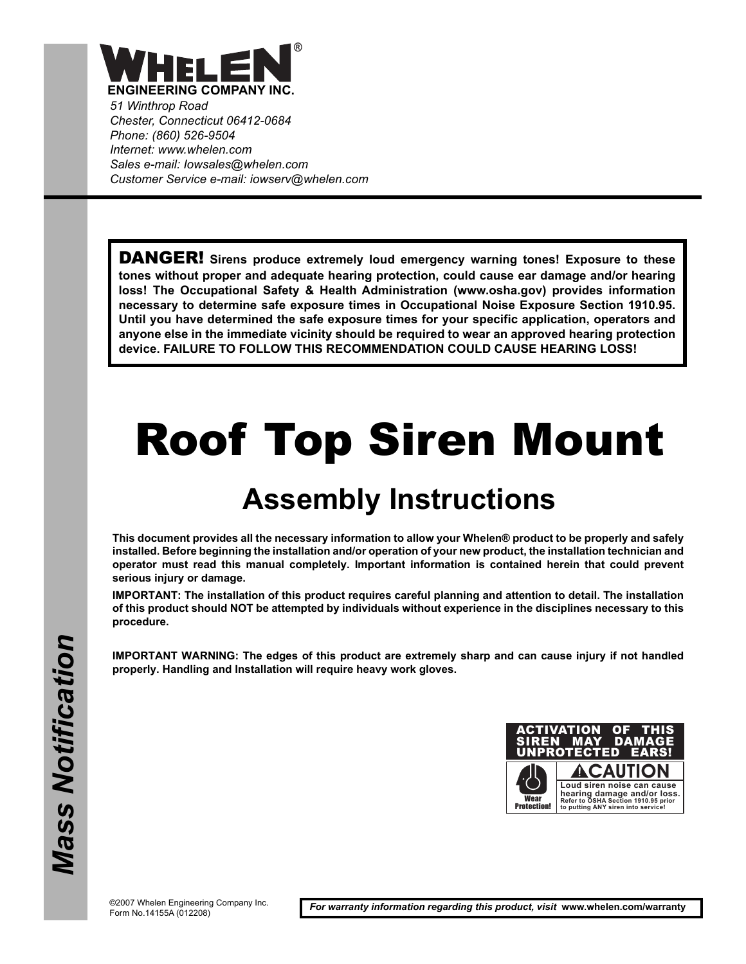

*51 Winthrop Road Chester, Connecticut 06412-0684 Phone: (860) 526-9504 Internet: www.whelen.com Sales e-mail: Iowsales@whelen.com Customer Service e-mail: iowserv@whelen.com*

DANGER! **Sirens produce extremely loud emergency warning tones! Exposure to these tones without proper and adequate hearing protection, could cause ear damage and/or hearing loss! The Occupational Safety & Health Administration (www.osha.gov) provides information necessary to determine safe exposure times in Occupational Noise Exposure Section 1910.95. Until you have determined the safe exposure times for your specific application, operators and anyone else in the immediate vicinity should be required to wear an approved hearing protection device. FAILURE TO FOLLOW THIS RECOMMENDATION COULD CAUSE HEARING LOSS!**

## Roof Top Siren Mount

## **Assembly Instructions**

**This document provides all the necessary information to allow your Whelen® product to be properly and safely installed. Before beginning the installation and/or operation of your new product, the installation technician and operator must read this manual completely. Important information is contained herein that could prevent serious injury or damage.**

**IMPORTANT: The installation of this product requires careful planning and attention to detail. The installation of this product should NOT be attempted by individuals without experience in the disciplines necessary to this procedure.**

**IMPORTANT WARNING: The edges of this product are extremely sharp and can cause injury if not handled properly. Handling and Installation will require heavy work gloves.** 

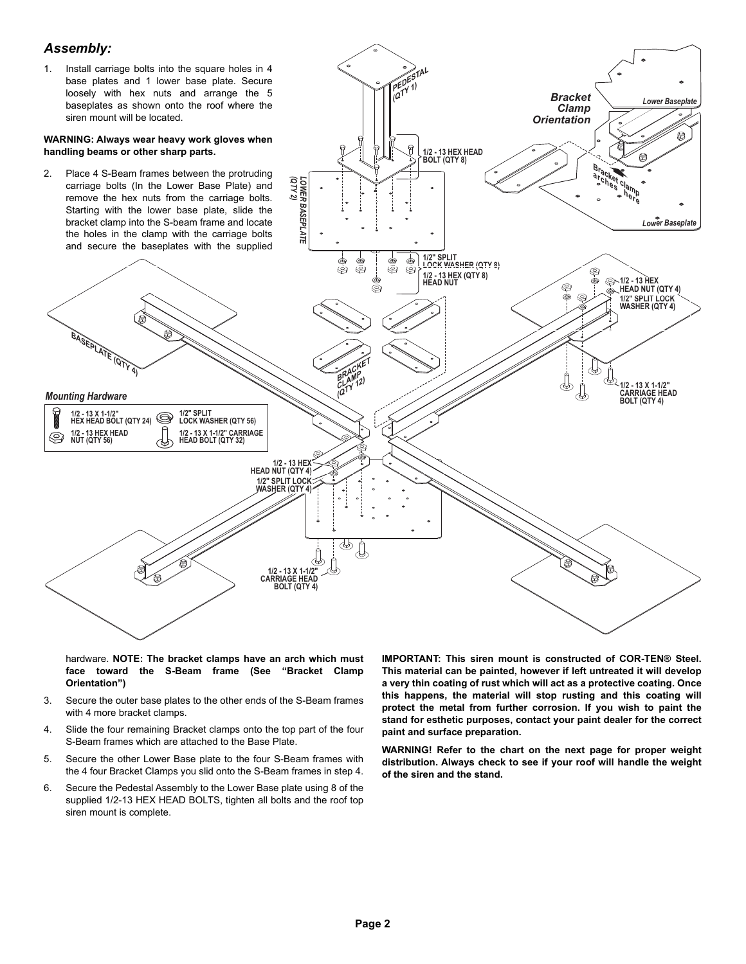## *Assembly:*



hardware. **NOTE: The bracket clamps have an arch which must face toward the S-Beam frame (See "Bracket Clamp Orientation")**

- 3. Secure the outer base plates to the other ends of the S-Beam frames with 4 more bracket clamps.
- 4. Slide the four remaining Bracket clamps onto the top part of the four S-Beam frames which are attached to the Base Plate.
- 5. Secure the other Lower Base plate to the four S-Beam frames with the 4 four Bracket Clamps you slid onto the S-Beam frames in step 4.
- 6. Secure the Pedestal Assembly to the Lower Base plate using 8 of the supplied 1/2-13 HEX HEAD BOLTS, tighten all bolts and the roof top siren mount is complete.

**IMPORTANT: This siren mount is constructed of COR-TEN® Steel. This material can be painted, however if left untreated it will develop a very thin coating of rust which will act as a protective coating. Once this happens, the material will stop rusting and this coating will protect the metal from further corrosion. If you wish to paint the stand for esthetic purposes, contact your paint dealer for the correct paint and surface preparation.**

**WARNING! Refer to the chart on the next page for proper weight distribution. Always check to see if your roof will handle the weight of the siren and the stand.**